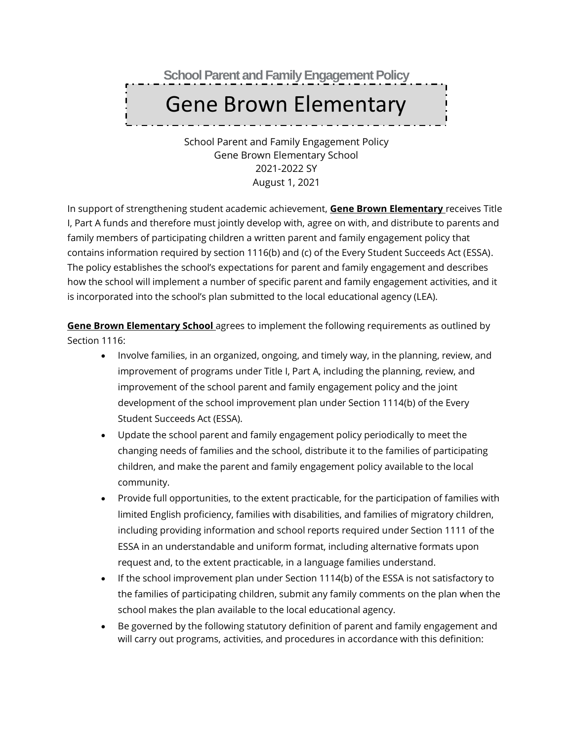**School Parent and Family Engagement Policy**

# Gene Brown Elementary

School School Parent and Family Engagement Policy Gene Brown Elementary School 2021-2022 SY August 1, 2021

In support of strengthening student academic achievement, **Gene Brown Elementary** receives Title I, Part A funds and therefore must jointly develop with, agree on with, and distribute to parents and family members of participating children a written parent and family engagement policy that contains information required by section 1116(b) and (c) of the Every Student Succeeds Act (ESSA). The policy establishes the school's expectations for parent and family engagement and describes how the school will implement a number of specific parent and family engagement activities, and it is incorporated into the school's plan submitted to the local educational agency (LEA).

**Gene Brown Elementary School** agrees to implement the following requirements as outlined by Section 1116:

- Involve families, in an organized, ongoing, and timely way, in the planning, review, and improvement of programs under Title I, Part A, including the planning, review, and improvement of the school parent and family engagement policy and the joint development of the school improvement plan under Section 1114(b) of the Every Student Succeeds Act (ESSA).
- Update the school parent and family engagement policy periodically to meet the changing needs of families and the school, distribute it to the families of participating children, and make the parent and family engagement policy available to the local community.
- Provide full opportunities, to the extent practicable, for the participation of families with limited English proficiency, families with disabilities, and families of migratory children, including providing information and school reports required under Section 1111 of the ESSA in an understandable and uniform format, including alternative formats upon request and, to the extent practicable, in a language families understand.
- If the school improvement plan under Section 1114(b) of the ESSA is not satisfactory to the families of participating children, submit any family comments on the plan when the school makes the plan available to the local educational agency.
- Be governed by the following statutory definition of parent and family engagement and will carry out programs, activities, and procedures in accordance with this definition: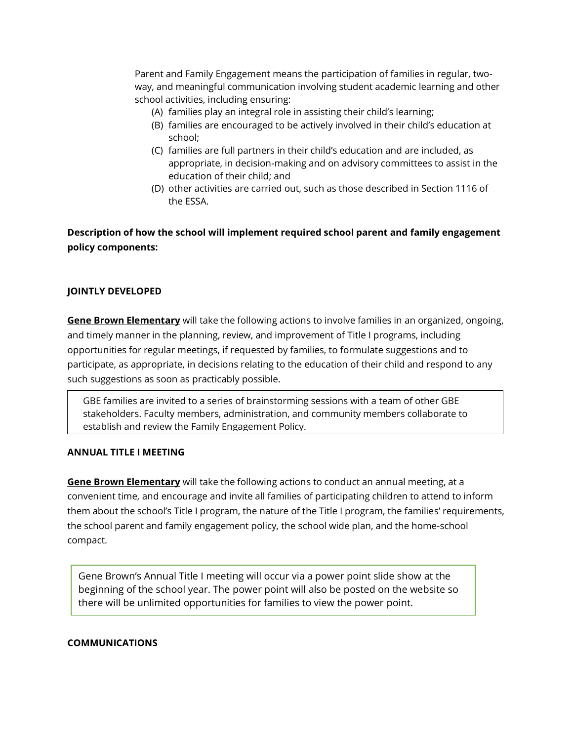Parent and Family Engagement means the participation of families in regular, twoway, and meaningful communication involving student academic learning and other school activities, including ensuring:

- (A) families play an integral role in assisting their child's learning;
- (B) families are encouraged to be actively involved in their child's education at school;
- (C) families are full partners in their child's education and are included, as appropriate, in decision-making and on advisory committees to assist in the education of their child; and
- (D) other activities are carried out, such as those described in Section 1116 of the ESSA.

**Description of how the school will implement required school parent and family engagement policy components:**

# **JOINTLY DEVELOPED**

**Gene Brown Elementary** will take the following actions to involve families in an organized, ongoing, and timely manner in the planning, review, and improvement of Title I programs, including opportunities for regular meetings, if requested by families, to formulate suggestions and to participate, as appropriate, in decisions relating to the education of their child and respond to any such suggestions as soon as practicably possible.

GBE families are invited to a series of brainstorming sessions with a team of other GBE stakeholders. Faculty members, administration, and community members collaborate to establish and review the Family Engagement Policy.

#### **ANNUAL TITLE I MEETING**

**Gene Brown Elementary** will take the following actions to conduct an annual meeting, at a convenient time, and encourage and invite all families of participating children to attend to inform them about the school's Title I program, the nature of the Title I program, the families' requirements, the school parent and family engagement policy, the school wide plan, and the home-school compact.

Gene Brown's Annual Title I meeting will occur via a power point slide show at the beginning of the school year. The power point will also be posted on the website so there will be unlimited opportunities for families to view the power point.

#### **COMMUNICATIONS**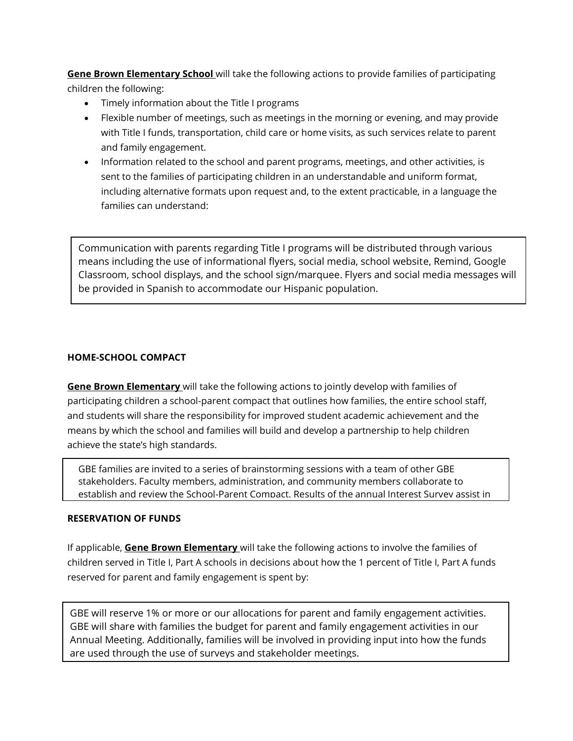**Gene Brown Elementary School** will take the following actions to provide families of participating children the following:

- Timely information about the Title I programs
- Flexible number of meetings, such as meetings in the morning or evening, and may provide with Title I funds, transportation, child care or home visits, as such services relate to parent and family engagement.
- Information related to the school and parent programs, meetings, and other activities, is sent to the families of participating children in an understandable and uniform format, including alternative formats upon request and, to the extent practicable, in a language the families can understand:

Communication with parents regarding Title I programs will be distributed through various means including the use of informational flyers, social media, school website, Remind, Google Classroom, school displays, and the school sign/marquee. Flyers and social media messages will be provided in Spanish to accommodate our Hispanic population.

# **HOME-SCHOOL COMPACT**

**Gene Brown Elementary** will take the following actions to jointly develop with families of participating children a school-parent compact that outlines how families, the entire school staff, and students will share the responsibility for improved student academic achievement and the means by which the school and families will build and develop a partnership to help children achieve the state's high standards.

GBE families are invited to a series of brainstorming sessions with a team of other GBE stakeholders. Faculty members, administration, and community members collaborate to establish and review the School-Parent Compact. Results of the annual Interest Survey assist in

#### **RESERVATION OF FUNDS**

If applicable, **Gene Brown Elementary** will take the following actions to involve the families of children served in Title I, Part A schools in decisions about how the 1 percent of Title I, Part A funds reserved for parent and family engagement is spent by:

GBE will reserve 1% or more or our allocations for parent and family engagement activities. GBE will share with families the budget for parent and family engagement activities in our Annual Meeting. Additionally, families will be involved in providing input into how the funds are used through the use of surveys and stakeholder meetings.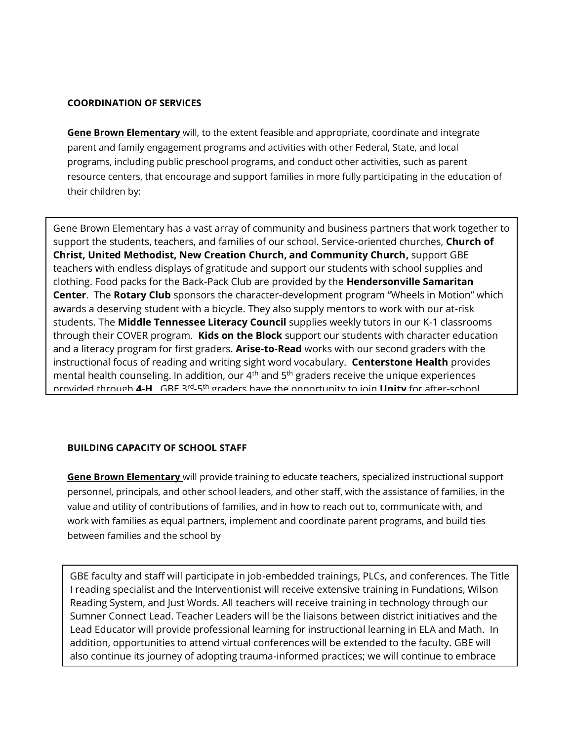## **COORDINATION OF SERVICES**

**Gene Brown Elementary** will, to the extent feasible and appropriate, coordinate and integrate parent and family engagement programs and activities with other Federal, State, and local programs, including public preschool programs, and conduct other activities, such as parent resource centers, that encourage and support families in more fully participating in the education of their children by:

Gene Brown Elementary has a vast array of community and business partners that work together to support the students, teachers, and families of our school. Service-oriented churches, **Church of Christ, United Methodist, New Creation Church, and Community Church,** support GBE teachers with endless displays of gratitude and support our students with school supplies and clothing. Food packs for the Back-Pack Club are provided by the **Hendersonville Samaritan Center**. The **Rotary Club** sponsors the character-development program "Wheels in Motion" which awards a deserving student with a bicycle. They also supply mentors to work with our at-risk students. The **Middle Tennessee Literacy Council** supplies weekly tutors in our K-1 classrooms through their COVER program. **Kids on the Block** support our students with character education and a literacy program for first graders. **Arise-to-Read** works with our second graders with the instructional focus of reading and writing sight word vocabulary. **Centerstone Health** provides mental health counseling. In addition, our  $4<sup>th</sup>$  and  $5<sup>th</sup>$  graders receive the unique experiences provided through **4-H**. GBE 3rd -5 th graders have the opportunity to join **Unity** for after-school

# **BUILDING CAPACITY OF SCHOOL STAFF**

**Gene Brown Elementary** will provide training to educate teachers, specialized instructional support personnel, principals, and other school leaders, and other staff, with the assistance of families, in the value and utility of contributions of families, and in how to reach out to, communicate with, and work with families as equal partners, implement and coordinate parent programs, and build ties between families and the school by

GBE faculty and staff will participate in job-embedded trainings, PLCs, and conferences. The Title I reading specialist and the Interventionist will receive extensive training in Fundations, Wilson Reading System, and Just Words. All teachers will receive training in technology through our Sumner Connect Lead. Teacher Leaders will be the liaisons between district initiatives and the Lead Educator will provide professional learning for instructional learning in ELA and Math. In addition, opportunities to attend virtual conferences will be extended to the faculty. GBE will also continue its journey of adopting trauma-informed practices; we will continue to embrace

school-wide participation in book studies focusing on SEL and trauma-informed practices.